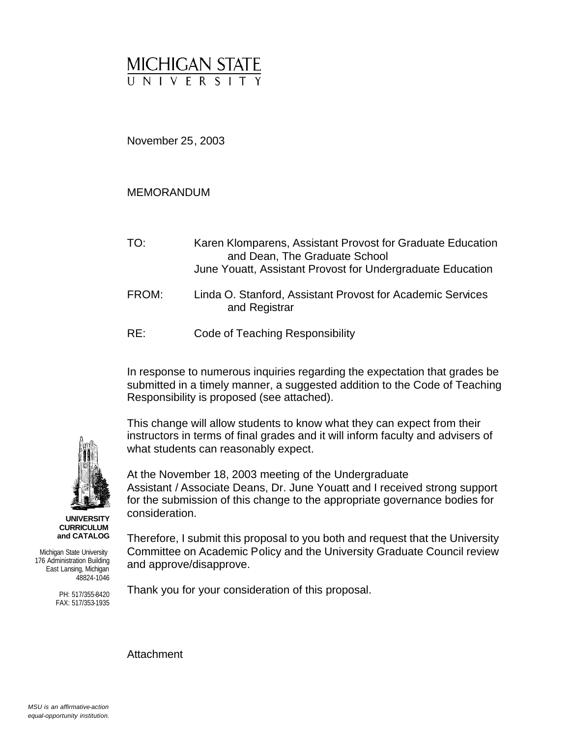

November 25, 2003

## MEMORANDUM

- TO: Karen Klomparens, Assistant Provost for Graduate Education and Dean, The Graduate School June Youatt, Assistant Provost for Undergraduate Education
- FROM: Linda O. Stanford, Assistant Provost for Academic Services and Registrar
- RE: Code of Teaching Responsibility

In response to numerous inquiries regarding the expectation that grades be submitted in a timely manner, a suggested addition to the Code of Teaching Responsibility is proposed (see attached).

This change will allow students to know what they can expect from their instructors in terms of final grades and it will inform faculty and advisers of what students can reasonably expect.

At the November 18, 2003 meeting of the Undergraduate Assistant / Associate Deans, Dr. June Youatt and I received strong support for the submission of this change to the appropriate governance bodies for consideration.

Therefore, I submit this proposal to you both and request that the University Committee on Academic Policy and the University Graduate Council review and approve/disapprove.

Thank you for your consideration of this proposal.

Attachment



**UNIVERSITY CURRICULUM and CATALOG**

Michigan State University 176 Administration Building East Lansing, Michigan 48824-1046

> PH: 517/355-8420 FAX: 517/353-1935